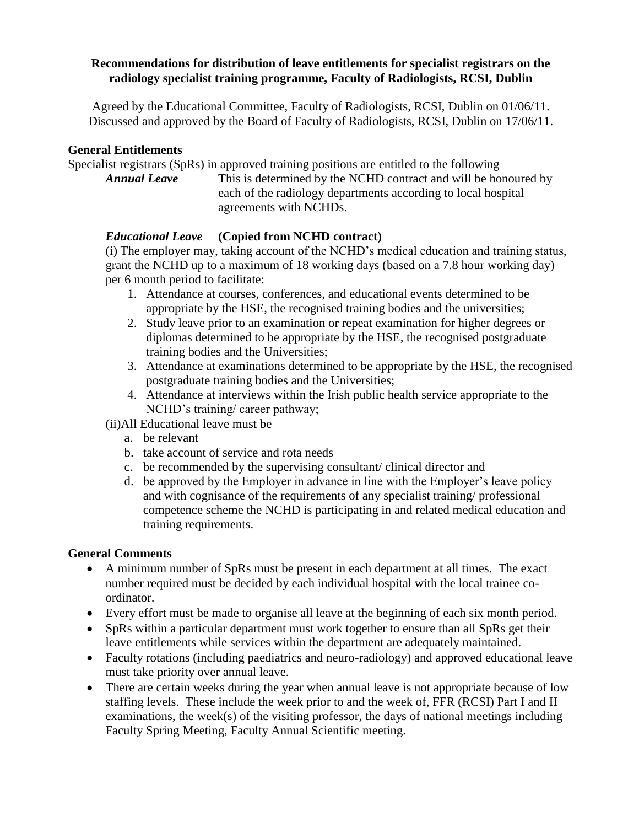#### **Recommendations for distribution of leave entitlements for specialist registrars on the radiology specialist training programme, Faculty of Radiologists, RCSI, Dublin**

Agreed by the Educational Committee, Faculty of Radiologists, RCSI, Dublin on 01/06/11. Discussed and approved by the Board of Faculty of Radiologists, RCSI, Dublin on 17/06/11.

# **General Entitlements**

Specialist registrars (SpRs) in approved training positions are entitled to the following

*Annual Leave* This is determined by the NCHD contract and will be honoured by each of the radiology departments according to local hospital agreements with NCHDs.

# *Educational Leave* **(Copied from NCHD contract)**

(i) The employer may, taking account of the NCHD's medical education and training status, grant the NCHD up to a maximum of 18 working days (based on a 7.8 hour working day) per 6 month period to facilitate:

- 1. Attendance at courses, conferences, and educational events determined to be appropriate by the HSE, the recognised training bodies and the universities;
- 2. Study leave prior to an examination or repeat examination for higher degrees or diplomas determined to be appropriate by the HSE, the recognised postgraduate training bodies and the Universities;
- 3. Attendance at examinations determined to be appropriate by the HSE, the recognised postgraduate training bodies and the Universities;
- 4. Attendance at interviews within the Irish public health service appropriate to the NCHD's training/ career pathway;
- (ii)All Educational leave must be
	- a. be relevant
	- b. take account of service and rota needs
	- c. be recommended by the supervising consultant/ clinical director and
	- d. be approved by the Employer in advance in line with the Employer's leave policy and with cognisance of the requirements of any specialist training/ professional competence scheme the NCHD is participating in and related medical education and training requirements.

## **General Comments**

- A minimum number of SpRs must be present in each department at all times. The exact number required must be decided by each individual hospital with the local trainee coordinator.
- Every effort must be made to organise all leave at the beginning of each six month period.
- SpRs within a particular department must work together to ensure than all SpRs get their leave entitlements while services within the department are adequately maintained.
- Faculty rotations (including paediatrics and neuro-radiology) and approved educational leave must take priority over annual leave.
- There are certain weeks during the year when annual leave is not appropriate because of low staffing levels. These include the week prior to and the week of, FFR (RCSI) Part I and II examinations, the week(s) of the visiting professor, the days of national meetings including Faculty Spring Meeting, Faculty Annual Scientific meeting.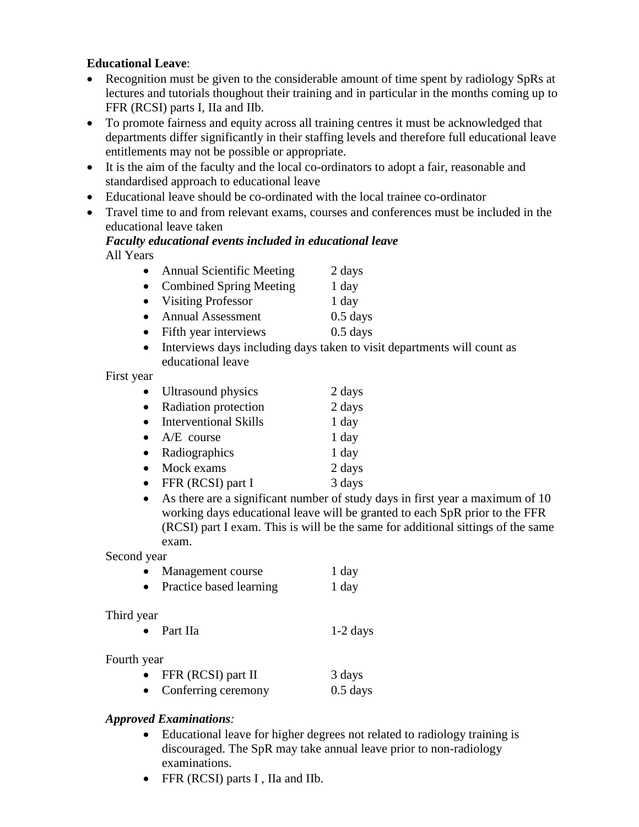## **Educational Leave**:

- Recognition must be given to the considerable amount of time spent by radiology SpRs at lectures and tutorials thoughout their training and in particular in the months coming up to FFR (RCSI) parts I, IIa and IIb.
- To promote fairness and equity across all training centres it must be acknowledged that departments differ significantly in their staffing levels and therefore full educational leave entitlements may not be possible or appropriate.
- It is the aim of the faculty and the local co-ordinators to adopt a fair, reasonable and standardised approach to educational leave
- Educational leave should be co-ordinated with the local trainee co-ordinator
- Travel time to and from relevant exams, courses and conferences must be included in the educational leave taken

#### *Faculty educational events included in educational leave* All Years

- Annual Scientific Meeting  $2 \text{ days}$
- Combined Spring Meeting 1 day
- Visiting Professor 1 day
- Annual Assessment 0.5 days
- Fifth year interviews 0.5 days
- Interviews days including days taken to visit departments will count as educational leave

## First year

| $\bullet$ | Ultrasound physics           | 2 days  |
|-----------|------------------------------|---------|
| $\bullet$ | Radiation protection         | 2 days  |
|           | <b>Interventional Skills</b> | $1$ day |
| $\bullet$ | $A/E$ course                 | $1$ day |
| $\bullet$ | Radiographics                | $1$ day |
|           | Mock exams                   | 2 days  |
|           | FFR (RCSI) part I            | 3 days  |

 As there are a significant number of study days in first year a maximum of 10 working days educational leave will be granted to each SpR prior to the FFR (RCSI) part I exam. This is will be the same for additional sittings of the same exam.

## Second year

| Management course       | 1 day |
|-------------------------|-------|
| Practice based learning | 1 day |

## Third year

• Part IIa 1-2 days

## Fourth year

| $\bullet$ | FFR (RCSI) part II    | 3 days     |
|-----------|-----------------------|------------|
|           | • Conferring ceremony | $0.5$ days |

## *Approved Examinations:*

- Educational leave for higher degrees not related to radiology training is discouraged. The SpR may take annual leave prior to non-radiology examinations.
- FFR (RCSI) parts I, IIa and IIb.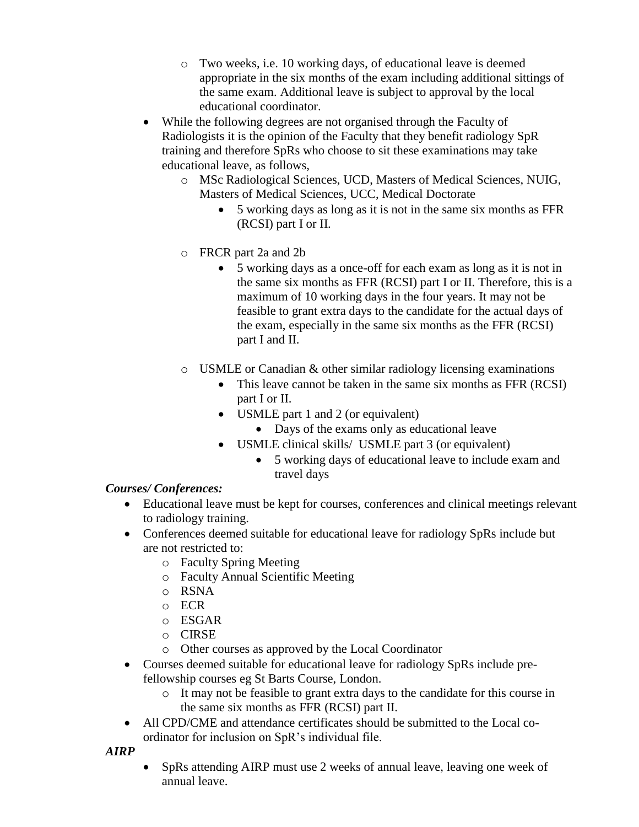- o Two weeks, i.e. 10 working days, of educational leave is deemed appropriate in the six months of the exam including additional sittings of the same exam. Additional leave is subject to approval by the local educational coordinator.
- While the following degrees are not organised through the Faculty of Radiologists it is the opinion of the Faculty that they benefit radiology SpR training and therefore SpRs who choose to sit these examinations may take educational leave, as follows,
	- o MSc Radiological Sciences, UCD, Masters of Medical Sciences, NUIG, Masters of Medical Sciences, UCC, Medical Doctorate
		- 5 working days as long as it is not in the same six months as FFR (RCSI) part I or II.
	- o FRCR part 2a and 2b
		- 5 working days as a once-off for each exam as long as it is not in the same six months as FFR (RCSI) part I or II. Therefore, this is a maximum of 10 working days in the four years. It may not be feasible to grant extra days to the candidate for the actual days of the exam, especially in the same six months as the FFR (RCSI) part I and II.
	- o USMLE or Canadian & other similar radiology licensing examinations
		- This leave cannot be taken in the same six months as FFR (RCSI) part I or II.
		- USMLE part 1 and 2 (or equivalent)
			- Days of the exams only as educational leave
		- USMLE clinical skills/ USMLE part 3 (or equivalent)
			- 5 working days of educational leave to include exam and travel days

# *Courses/ Conferences:*

- Educational leave must be kept for courses, conferences and clinical meetings relevant to radiology training.
- Conferences deemed suitable for educational leave for radiology SpRs include but are not restricted to:
	- o Faculty Spring Meeting
	- o Faculty Annual Scientific Meeting
	- o RSNA
	- o ECR
	- o ESGAR
	- o CIRSE
	- o Other courses as approved by the Local Coordinator
- Courses deemed suitable for educational leave for radiology SpRs include prefellowship courses eg St Barts Course, London.
	- o It may not be feasible to grant extra days to the candidate for this course in the same six months as FFR (RCSI) part II.
- All CPD/CME and attendance certificates should be submitted to the Local coordinator for inclusion on SpR's individual file.

*AIRP* 

 SpRs attending AIRP must use 2 weeks of annual leave, leaving one week of annual leave.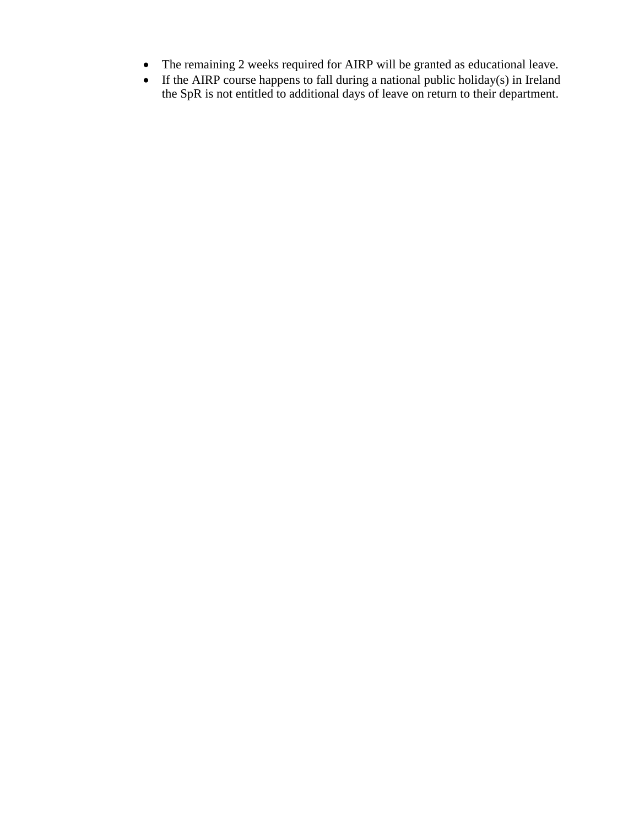- The remaining 2 weeks required for AIRP will be granted as educational leave.
- If the AIRP course happens to fall during a national public holiday(s) in Ireland the SpR is not entitled to additional days of leave on return to their department.